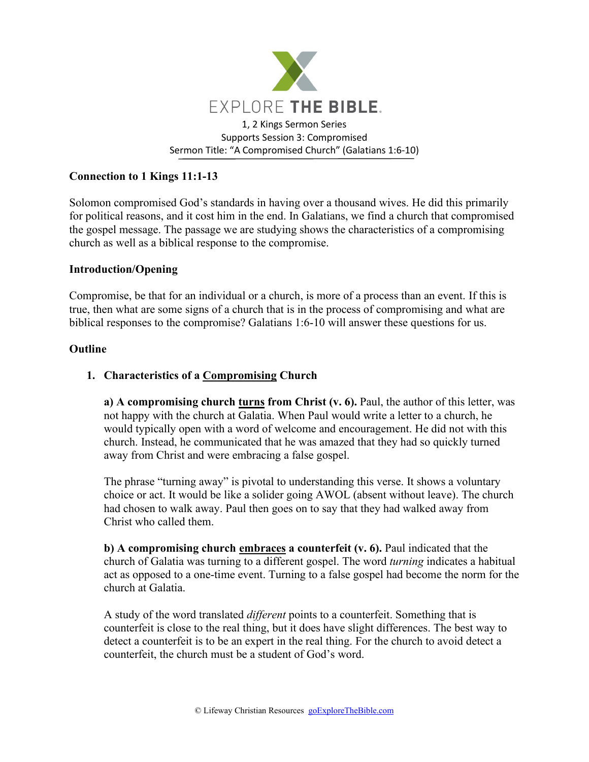

# **Connection to 1 Kings 11:1-13**

Solomon compromised God's standards in having over a thousand wives. He did this primarily for political reasons, and it cost him in the end. In Galatians, we find a church that compromised the gospel message. The passage we are studying shows the characteristics of a compromising church as well as a biblical response to the compromise.

#### **Introduction/Opening**

Compromise, be that for an individual or a church, is more of a process than an event. If this is true, then what are some signs of a church that is in the process of compromising and what are biblical responses to the compromise? Galatians 1:6-10 will answer these questions for us.

### **Outline**

### **1. Characteristics of a Compromising Church**

**a) A compromising church turns from Christ (v. 6).** Paul, the author of this letter, was not happy with the church at Galatia. When Paul would write a letter to a church, he would typically open with a word of welcome and encouragement. He did not with this church. Instead, he communicated that he was amazed that they had so quickly turned away from Christ and were embracing a false gospel.

The phrase "turning away" is pivotal to understanding this verse. It shows a voluntary choice or act. It would be like a solider going AWOL (absent without leave). The church had chosen to walk away. Paul then goes on to say that they had walked away from Christ who called them.

**b) A compromising church embraces a counterfeit (v. 6).** Paul indicated that the church of Galatia was turning to a different gospel. The word *turning* indicates a habitual act as opposed to a one-time event. Turning to a false gospel had become the norm for the church at Galatia.

A study of the word translated *different* points to a counterfeit. Something that is counterfeit is close to the real thing, but it does have slight differences. The best way to detect a counterfeit is to be an expert in the real thing. For the church to avoid detect a counterfeit, the church must be a student of God's word.